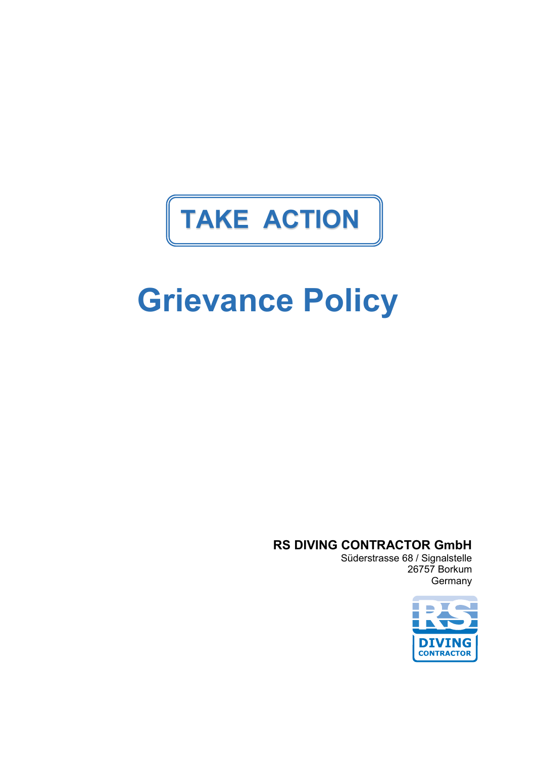## **TAKE ACTION**

# **Grievance Policy**

**RS DIVING CONTRACTOR GmbH**

Süderstrasse 68 / Signalstelle 26757 Borkum **Germany** 

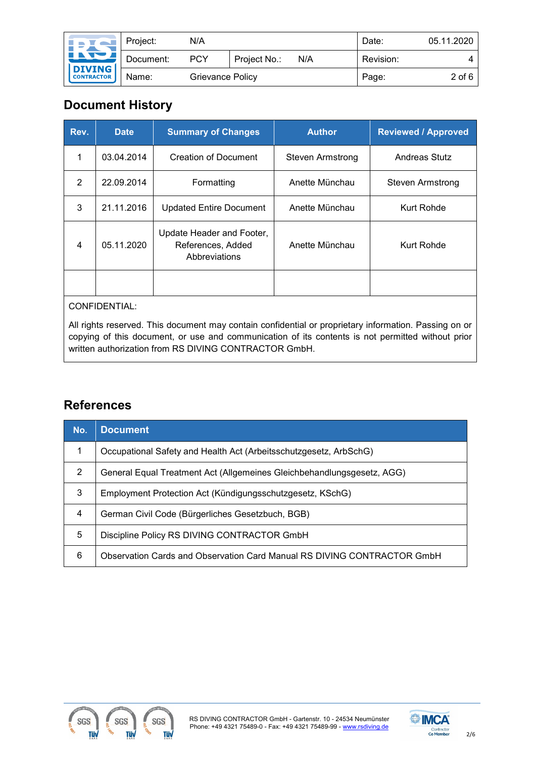| <b>IFIN</b>                                      | Project:  | N/A              |              |     | Date:     | 05.11.2020 |
|--------------------------------------------------|-----------|------------------|--------------|-----|-----------|------------|
| <u>INDI</u><br>DIVING<br>CONTRACTOR <sup>1</sup> | Document: | <b>PCY</b>       | Project No.: | N/A | Revision: | Δ          |
|                                                  | Name:     | Grievance Policy |              |     | Page:     | $2$ of 6   |

## **Document History**

| Rev. | <b>Date</b> | <b>Summary of Changes</b>                                       | <b>Author</b>    | <b>Reviewed / Approved</b> |
|------|-------------|-----------------------------------------------------------------|------------------|----------------------------|
|      | 03.04.2014  | Creation of Document                                            | Steven Armstrong | Andreas Stutz              |
| 2    | 22.09.2014  | Formatting                                                      | Anette Münchau   | Steven Armstrong           |
| 3    | 21.11.2016  | <b>Updated Entire Document</b>                                  | Anette Münchau   | Kurt Rohde                 |
| 4    | 05.11.2020  | Update Header and Footer,<br>References, Added<br>Abbreviations | Anette Münchau   | Kurt Rohde                 |
|      |             |                                                                 |                  |                            |

#### CONFIDENTIAL:

All rights reserved. This document may contain confidential or proprietary information. Passing on or copying of this document, or use and communication of its contents is not permitted without prior written authorization from RS DIVING CONTRACTOR GmbH.

## **References**

| No. | <b>Document</b>                                                         |
|-----|-------------------------------------------------------------------------|
| 1   | Occupational Safety and Health Act (Arbeitsschutzgesetz, ArbSchG)       |
| 2   | General Equal Treatment Act (Allgemeines Gleichbehandlungsgesetz, AGG)  |
| 3   | Employment Protection Act (Kündigungsschutzgesetz, KSchG)               |
| 4   | German Civil Code (Bürgerliches Gesetzbuch, BGB)                        |
| 5   | Discipline Policy RS DIVING CONTRACTOR GmbH                             |
| 6   | Observation Cards and Observation Card Manual RS DIVING CONTRACTOR GmbH |



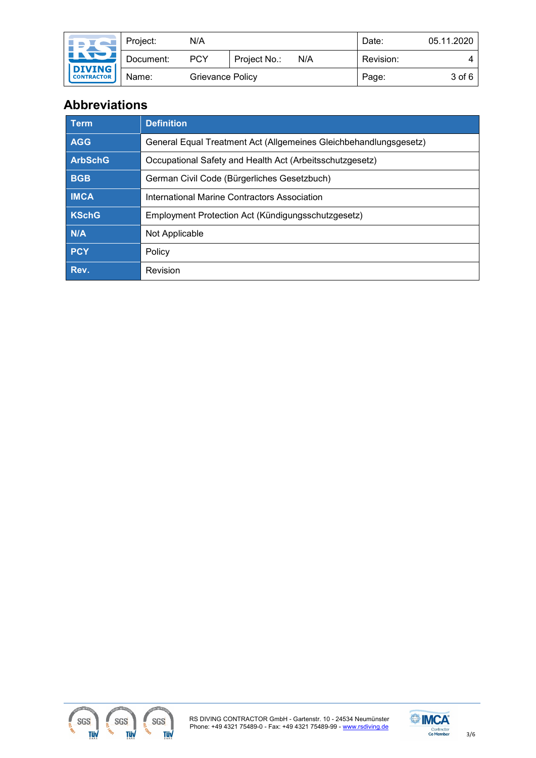| <b>INSTALL</b>                               | Project:  | N/A              |              |     | Date:     | 05.11.2020 |
|----------------------------------------------|-----------|------------------|--------------|-----|-----------|------------|
| <u>Lity /</u><br>DIVING<br><b>CONTRACTOR</b> | Document: | <b>PCY</b>       | Project No.: | N/A | Revision: |            |
|                                              | Name:     | Grievance Policy |              |     | Page:     | 3 of 6     |

## **Abbreviations**

| Term           | <b>Definition</b>                                                 |
|----------------|-------------------------------------------------------------------|
| <b>AGG</b>     | General Equal Treatment Act (Allgemeines Gleichbehandlungsgesetz) |
| <b>ArbSchG</b> | Occupational Safety and Health Act (Arbeitsschutzgesetz)          |
| <b>BGB</b>     | German Civil Code (Bürgerliches Gesetzbuch)                       |
| <b>IMCA</b>    | International Marine Contractors Association                      |
| <b>KSchG</b>   | Employment Protection Act (Kündigungsschutzgesetz)                |
| N/A            | Not Applicable                                                    |
| PCY            | Policy                                                            |
| Rev.           | Revision                                                          |



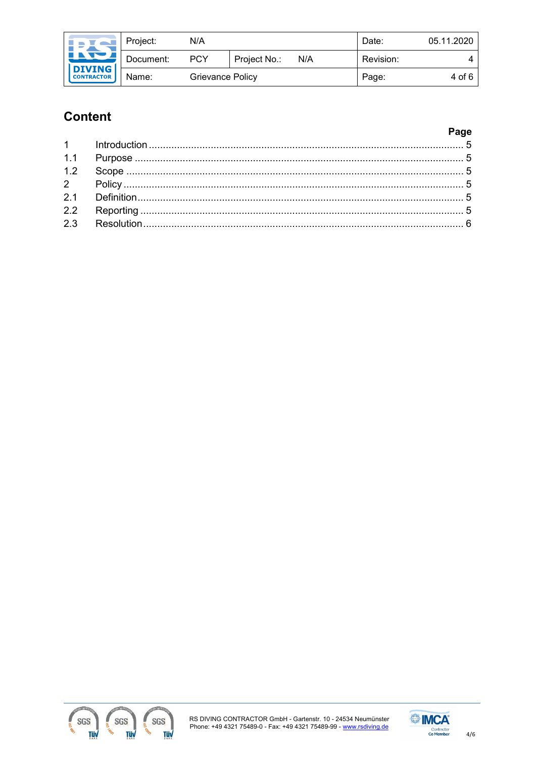| I N AI                                              | Project:  | N/A        |                  |     | Date:     | 05.11.2020 |
|-----------------------------------------------------|-----------|------------|------------------|-----|-----------|------------|
| <u>Line i</u><br><b>DIVING</b><br><b>CONTRACTOR</b> | Document: | <b>PCY</b> | Project No.:     | N/A | Revision: | 4          |
|                                                     | Name:     |            | Grievance Policy |     | Page:     | 4 of 6     |

## **Content**

#### Page



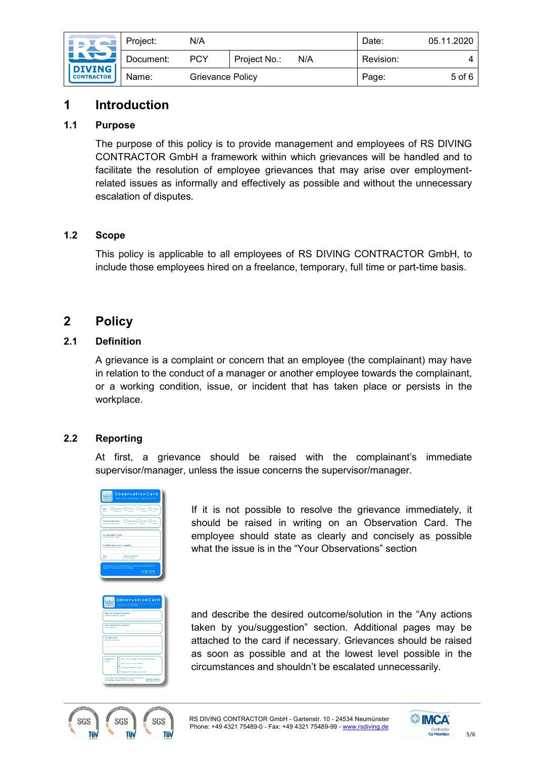| <b>INSTALL</b><br><u>INDI</u><br><b>DIVING</b><br><b>CONTRACTOR</b> | Project:  | N/A              |              |     | Date:     | 05.11.2020 |
|---------------------------------------------------------------------|-----------|------------------|--------------|-----|-----------|------------|
|                                                                     | Document: | PCY              | Project No.: | N/A | Revision: |            |
|                                                                     | Name:     | Grievance Policy |              |     | Page:     | 5 of 6     |

## <span id="page-4-0"></span>**1 Introduction**

#### <span id="page-4-1"></span>**1.1 Purpose**

The purpose of this policy is to provide management and employees of RS DIVING CONTRACTOR GmbH a framework within which grievances will be handled and to facilitate the resolution of employee grievances that may arise over employmentrelated issues as informally and effectively as possible and without the unnecessary escalation of disputes.

#### <span id="page-4-2"></span>**1.2 Scope**

This policy is applicable to all employees of RS DIVING CONTRACTOR GmbH, to include those employees hired on a freelance, temporary, full time or part-time basis.

## <span id="page-4-3"></span>**2 Policy**

### <span id="page-4-4"></span>**2.1 Definition**

A grievance is a complaint or concern that an employee (the complainant) may have in relation to the conduct of a manager or another employee towards the complainant, or a working condition, issue, or incident that has taken place or persists in the workplace.

#### <span id="page-4-5"></span>**2.2 Reporting**

At first, a grievance should be raised with the complainant's immediate supervisor/manager, unless the issue concerns the supervisor/manager.



If it is not possible to resolve the grievance immediately, it should be raised in writing on an Observation Card. The employee should state as clearly and concisely as possible what the issue is in the "Your Observations" section

| <b>BEVERG</b>                                                     | to be infection for Maxweder's Strategies of Supervisors (1)<br><b>DESANT WE ASSOCIATE</b>                                                                   |
|-------------------------------------------------------------------|--------------------------------------------------------------------------------------------------------------------------------------------------------------|
|                                                                   | busine card no. (buts of restated for:<br>La Nord W. Angleis der Annahme-                                                                                    |
| <b>Vehicle Detections</b>                                         | Name Augustratorizant / eugenelemi)                                                                                                                          |
| <b>Any arthurs hokes?</b><br><b>KIND REPORT OF A RIVER AND IN</b> |                                                                                                                                                              |
|                                                                   |                                                                                                                                                              |
| <b>Distribution*1</b><br><b>HOMAN</b>                             | Sain of CC to be well to RS DOWNE officer (SE)<br>Inform seesel monter about (IC)<br>torio for credit and how month to<br>Coments of DC to be refit to plant |

and describe the desired outcome/solution in the "Any actions taken by you/suggestion" section. Additional pages may be attached to the card if necessary. Grievances should be raised as soon as possible and at the lowest level possible in the circumstances and shouldn't be escalated unnecessarily.